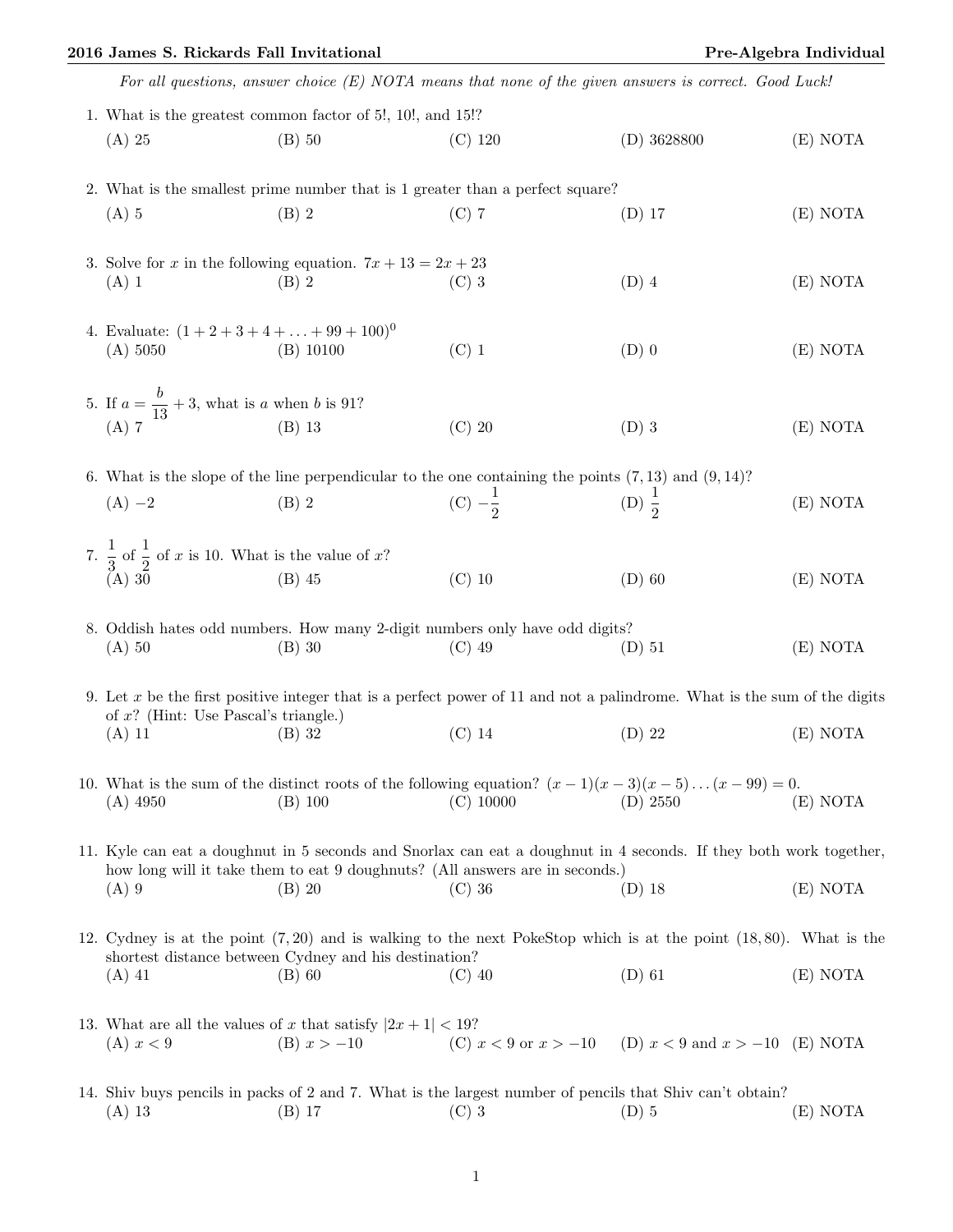|                                                            |                                                                        | 2016 James S. Rickards Fall Invitational                                      |                    |                                                                                                         | Pre-Algebra Individual |  |  |
|------------------------------------------------------------|------------------------------------------------------------------------|-------------------------------------------------------------------------------|--------------------|---------------------------------------------------------------------------------------------------------|------------------------|--|--|
|                                                            |                                                                        |                                                                               |                    | For all questions, answer choice $(E)$ NOTA means that none of the given answers is correct. Good Luck! |                        |  |  |
| 1. What is the greatest common factor of 5!, 10!, and 15!? |                                                                        |                                                                               |                    |                                                                                                         |                        |  |  |
|                                                            | $(A)$ 25                                                               | $(B)$ 50                                                                      | $(C)$ 120          | (D) 3628800                                                                                             | (E) NOTA               |  |  |
|                                                            |                                                                        | 2. What is the smallest prime number that is 1 greater than a perfect square? |                    |                                                                                                         |                        |  |  |
|                                                            | $(A)$ 5                                                                | $(B)$ 2                                                                       | $(C)$ 7            | (D) 17                                                                                                  | (E) NOTA               |  |  |
|                                                            | 3. Solve for x in the following equation. $7x + 13 = 2x + 23$          |                                                                               |                    |                                                                                                         |                        |  |  |
|                                                            | $(A)$ 1                                                                | $(B)$ 2                                                                       | $(C)$ 3            | $(D)$ 4                                                                                                 | (E) NOTA               |  |  |
|                                                            | 4. Evaluate: $(1 + 2 + 3 + 4 + \ldots + 99 + 100)^0$                   |                                                                               |                    |                                                                                                         |                        |  |  |
|                                                            | (A) 5050                                                               | $(B)$ 10100                                                                   | $(C)$ 1            | $(D)$ 0                                                                                                 | (E) NOTA               |  |  |
|                                                            | 5. If $a = \frac{b}{13} + 3$ , what is a when b is 91?<br>(A) 7 (B) 13 |                                                                               |                    |                                                                                                         |                        |  |  |
|                                                            |                                                                        |                                                                               | $(C)$ 20           | $(D)$ 3                                                                                                 | (E) NOTA               |  |  |
|                                                            |                                                                        |                                                                               |                    | 6. What is the slope of the line perpendicular to the one containing the points $(7,13)$ and $(9,14)$ ? |                        |  |  |
|                                                            | $(A) -2$                                                               | $(B)$ 2                                                                       | (C) $-\frac{1}{2}$ | (D) $\frac{1}{2}$                                                                                       | NOTA                   |  |  |

7.  $\frac{1}{2}$  $\frac{1}{3}$  of  $\frac{1}{2}$  of x is 10. What is the value of x? (A) 30 (B) 45 (C) 10 (D) 60 (E) NOTA

8. Oddish hates odd numbers. How many 2-digit numbers only have odd digits? (A) 50 (B) 30 (C) 49 (D) 51 (E) NOTA

9. Let x be the first positive integer that is a perfect power of 11 and not a palindrome. What is the sum of the digits of x? (Hint: Use Pascal's triangle.) (A) 11 (B) 32 (C) 14 (D) 22 (E) NOTA

10. What is the sum of the distinct roots of the following equation?  $(x-1)(x-3)(x-5)...(x-99) = 0$ . (A) 4950 (B) 100 (C) 10000 (D) 2550 (E) NOTA

11. Kyle can eat a doughnut in 5 seconds and Snorlax can eat a doughnut in 4 seconds. If they both work together, how long will it take them to eat 9 doughnuts? (All answers are in seconds.) (A) 9 (B) 20 (C) 36 (D) 18 (E) NOTA

12. Cydney is at the point (7, 20) and is walking to the next PokeStop which is at the point (18, 80). What is the shortest distance between Cydney and his destination? (A) 41 (B) 60 (C) 40 (D) 61 (E) NOTA

- 13. What are all the values of x that satisfy  $|2x+1| < 19$ ? (A)  $x < 9$  (B)  $x > -10$  (C)  $x < 9$  or  $x > -10$  (D)  $x < 9$  and  $x > -10$  (E) NOTA
- 14. Shiv buys pencils in packs of 2 and 7. What is the largest number of pencils that Shiv can't obtain? (A) 13 (B) 17 (C) 3 (D) 5 (E) NOTA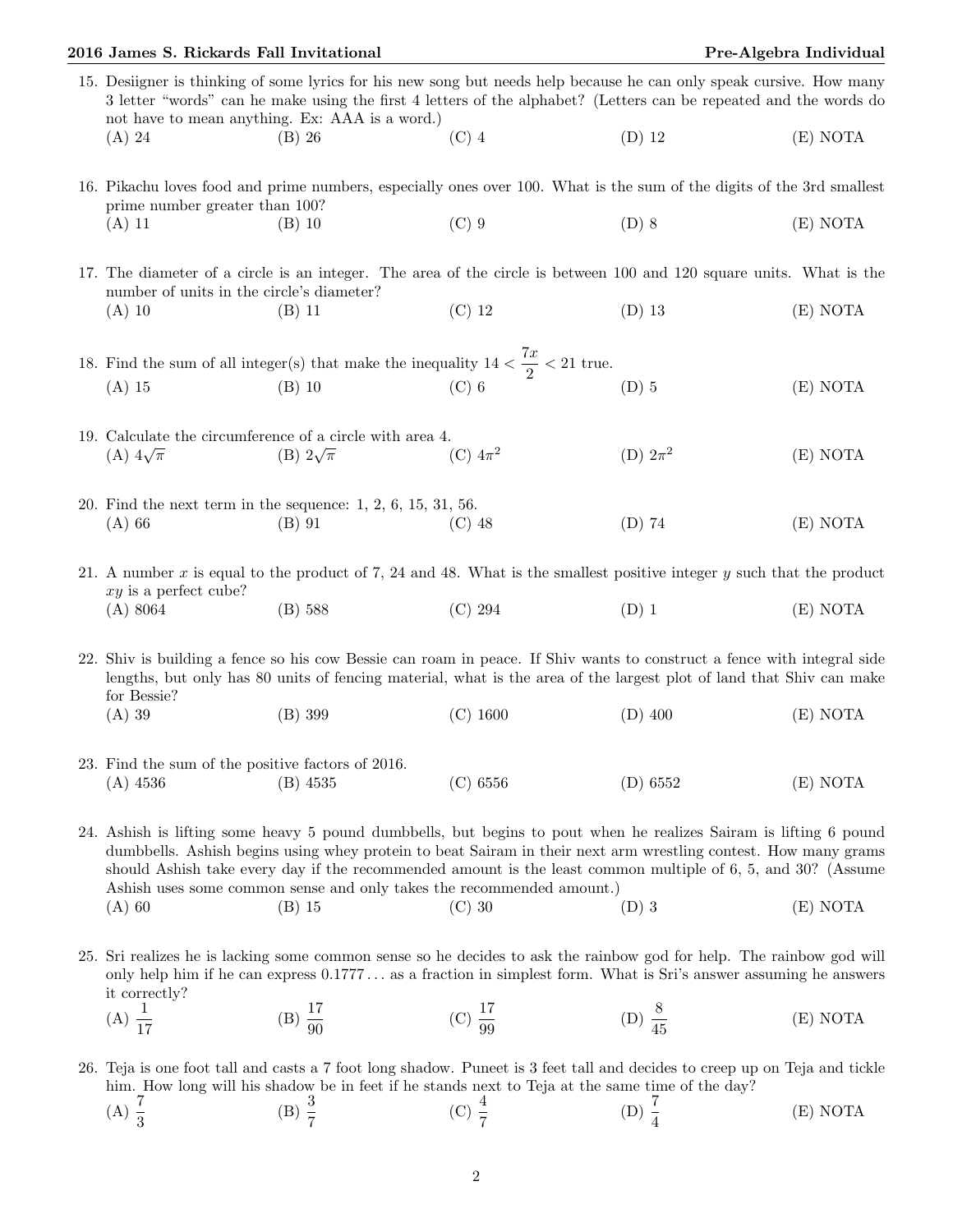## 2016 James S. Rickards Fall Invitational Pre-Algebra Individual Pre-Algebra Individual

| 15. Designer is thinking of some lyrics for his new song but needs help because he can only speak cursive. How many<br>3 letter "words" can be make using the first 4 letters of the alphabet? (Letters can be repeated and the words do<br>not have to mean anything. Ex: AAA is a word.)                                                                                                                                   |                                                                             |                     |                    |          |  |  |  |
|------------------------------------------------------------------------------------------------------------------------------------------------------------------------------------------------------------------------------------------------------------------------------------------------------------------------------------------------------------------------------------------------------------------------------|-----------------------------------------------------------------------------|---------------------|--------------------|----------|--|--|--|
| (A) 24                                                                                                                                                                                                                                                                                                                                                                                                                       | $(B)$ 26                                                                    | $(C)$ 4             | $(D)$ 12           | (E) NOTA |  |  |  |
| 16. Pikachu loves food and prime numbers, especially ones over 100. What is the sum of the digits of the 3rd smallest<br>prime number greater than 100?                                                                                                                                                                                                                                                                      |                                                                             |                     |                    |          |  |  |  |
| $(A)$ 11                                                                                                                                                                                                                                                                                                                                                                                                                     | $(B)$ 10                                                                    | $(C)$ 9             | $(D)$ 8            | (E) NOTA |  |  |  |
| 17. The diameter of a circle is an integer. The area of the circle is between 100 and 120 square units. What is the<br>number of units in the circle's diameter?                                                                                                                                                                                                                                                             |                                                                             |                     |                    |          |  |  |  |
| $(A)$ 10                                                                                                                                                                                                                                                                                                                                                                                                                     | $(B)$ 11                                                                    | $(C)$ 12            | $(D)$ 13           | (E) NOTA |  |  |  |
| 18. Find the sum of all integer(s) that make the inequality $14 < \frac{7x}{2} < 21$ true.                                                                                                                                                                                                                                                                                                                                   |                                                                             |                     |                    |          |  |  |  |
| $(A)$ 15                                                                                                                                                                                                                                                                                                                                                                                                                     | $(B)$ 10                                                                    | $(C)$ 6             | $(D)$ 5            | (E) NOTA |  |  |  |
| 19. Calculate the circumference of a circle with area 4.                                                                                                                                                                                                                                                                                                                                                                     |                                                                             |                     |                    |          |  |  |  |
| (A) $4\sqrt{\pi}$                                                                                                                                                                                                                                                                                                                                                                                                            | (B) $2\sqrt{\pi}$                                                           | (C) $4\pi^2$        | (D) $2\pi^2$       | (E) NOTA |  |  |  |
|                                                                                                                                                                                                                                                                                                                                                                                                                              |                                                                             |                     |                    |          |  |  |  |
| $(A)$ 66                                                                                                                                                                                                                                                                                                                                                                                                                     | 20. Find the next term in the sequence: $1, 2, 6, 15, 31, 56$ .<br>$(B)$ 91 | $(C)$ 48            | $(D)$ 74           | (E) NOTA |  |  |  |
|                                                                                                                                                                                                                                                                                                                                                                                                                              |                                                                             |                     |                    |          |  |  |  |
| 21. A number x is equal to the product of 7, 24 and 48. What is the smallest positive integer y such that the product<br>$xy$ is a perfect cube?                                                                                                                                                                                                                                                                             |                                                                             |                     |                    |          |  |  |  |
| (A) 8064                                                                                                                                                                                                                                                                                                                                                                                                                     | $(B)$ 588                                                                   | (C) 294             | $(D)$ 1            | (E) NOTA |  |  |  |
|                                                                                                                                                                                                                                                                                                                                                                                                                              |                                                                             |                     |                    |          |  |  |  |
| 22. Shiv is building a fence so his cow Bessie can roam in peace. If Shiv wants to construct a fence with integral side<br>lengths, but only has 80 units of fencing material, what is the area of the largest plot of land that Shiv can make                                                                                                                                                                               |                                                                             |                     |                    |          |  |  |  |
| for Bessie?<br>$(A)$ 39                                                                                                                                                                                                                                                                                                                                                                                                      | $(B)$ 399                                                                   | $(C)$ 1600          | $(D)$ 400          | (E) NOTA |  |  |  |
|                                                                                                                                                                                                                                                                                                                                                                                                                              |                                                                             |                     |                    |          |  |  |  |
| 23. Find the sum of the positive factors of 2016.<br>$(A)$ 4536                                                                                                                                                                                                                                                                                                                                                              | $(B)$ 4535                                                                  | (C) 6556            | (D) 6552           | (E) NOTA |  |  |  |
|                                                                                                                                                                                                                                                                                                                                                                                                                              |                                                                             |                     |                    |          |  |  |  |
| 24. Ashish is lifting some heavy 5 pound dumbbells, but begins to pout when he realizes Sairam is lifting 6 pound<br>dumbbells. Ashish begins using whey protein to beat Sairam in their next arm wrestling contest. How many grams<br>should Ashish take every day if the recommended amount is the least common multiple of 6, 5, and 30? (Assume<br>Ashish uses some common sense and only takes the recommended amount.) |                                                                             |                     |                    |          |  |  |  |
| $(A)$ 60                                                                                                                                                                                                                                                                                                                                                                                                                     | $(B)$ 15                                                                    | $(C)$ 30            | $(D)$ 3            | (E) NOTA |  |  |  |
| 25. Sri realizes he is lacking some common sense so he decides to ask the rainbow god for help. The rainbow god will<br>only help him if he can express $0.1777$ as a fraction in simplest form. What is Sri's answer assuming he answers<br>it correctly?                                                                                                                                                                   |                                                                             |                     |                    |          |  |  |  |
| (A) $\frac{1}{17}$                                                                                                                                                                                                                                                                                                                                                                                                           | (B) $\frac{17}{90}$                                                         | (C) $\frac{17}{99}$ | (D) $\frac{8}{45}$ | (E) NOTA |  |  |  |
|                                                                                                                                                                                                                                                                                                                                                                                                                              |                                                                             |                     |                    |          |  |  |  |
|                                                                                                                                                                                                                                                                                                                                                                                                                              |                                                                             |                     |                    |          |  |  |  |

26. Teja is one foot tall and casts a 7 foot long shadow. Puneet is 3 feet tall and decides to creep up on Teja and tickle him. How long will his shadow be in feet if he stands next to Teja at the same time of the day?

(A)  $\frac{7}{3}$  (B)  $\frac{3}{7}$  (C)  $\frac{4}{7}$  (D)  $\frac{7}{4}$ (E) NOTA